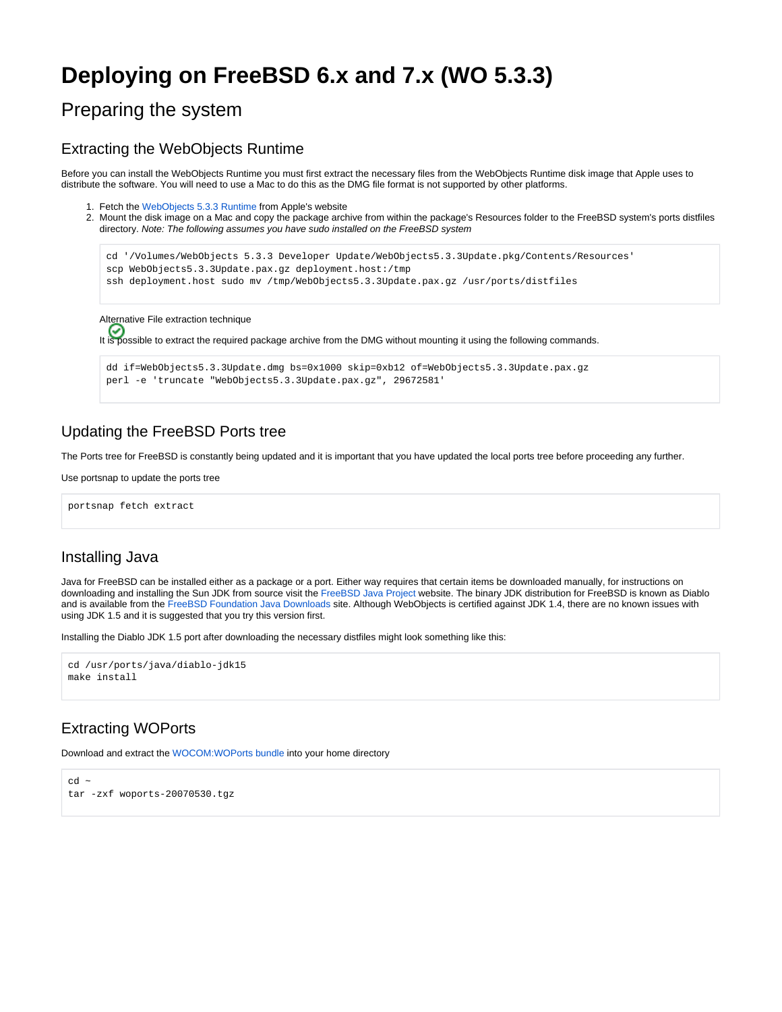# **Deploying on FreeBSD 6.x and 7.x (WO 5.3.3)**

## Preparing the system

### Extracting the WebObjects Runtime

Before you can install the WebObjects Runtime you must first extract the necessary files from the WebObjects Runtime disk image that Apple uses to distribute the software. You will need to use a Mac to do this as the DMG file format is not supported by other platforms.

- 1. Fetch the [WebObjects 5.3.3 Runtime](http://www.apple.com/support/downloads/webobjects533.html) from Apple's website
- 2. Mount the disk image on a Mac and copy the package archive from within the package's Resources folder to the FreeBSD system's ports distfiles directory. Note: The following assumes you have sudo installed on the FreeBSD system

```
cd '/Volumes/WebObjects 5.3.3 Developer Update/WebObjects5.3.3Update.pkg/Contents/Resources'
 scp WebObjects5.3.3Update.pax.gz deployment.host:/tmp
 ssh deployment.host sudo mv /tmp/WebObjects5.3.3Update.pax.gz /usr/ports/distfiles
Alternative File extraction technique
It is possible to extract the required package archive from the DMG without mounting it using the following commands.
 dd if=WebObjects5.3.3Update.dmg bs=0x1000 skip=0xb12 of=WebObjects5.3.3Update.pax.gz
```
## Updating the FreeBSD Ports tree

The Ports tree for FreeBSD is constantly being updated and it is important that you have updated the local ports tree before proceeding any further.

Use portsnap to update the ports tree

portsnap fetch extract

## Installing Java

Java for FreeBSD can be installed either as a package or a port. Either way requires that certain items be downloaded manually, for instructions on downloading and installing the Sun JDK from source visit the [FreeBSD Java Project](http://www.freebsd.org/java/) website. The binary JDK distribution for FreeBSD is known as Diablo and is available from the [FreeBSD Foundation Java Downloads](http://www.freebsdfoundation.org/downloads/java.shtml) site. Although WebObjects is certified against JDK 1.4, there are no known issues with using JDK 1.5 and it is suggested that you try this version first.

Installing the Diablo JDK 1.5 port after downloading the necessary distfiles might look something like this:

perl -e 'truncate "WebObjects5.3.3Update.pax.gz", 29672581'

```
cd /usr/ports/java/diablo-jdk15
make install
```
## Extracting WOPorts

Download and extract the WOCOM:WOPorts bundle into your home directory

```
ch \simtar -zxf woports-20070530.tgz
```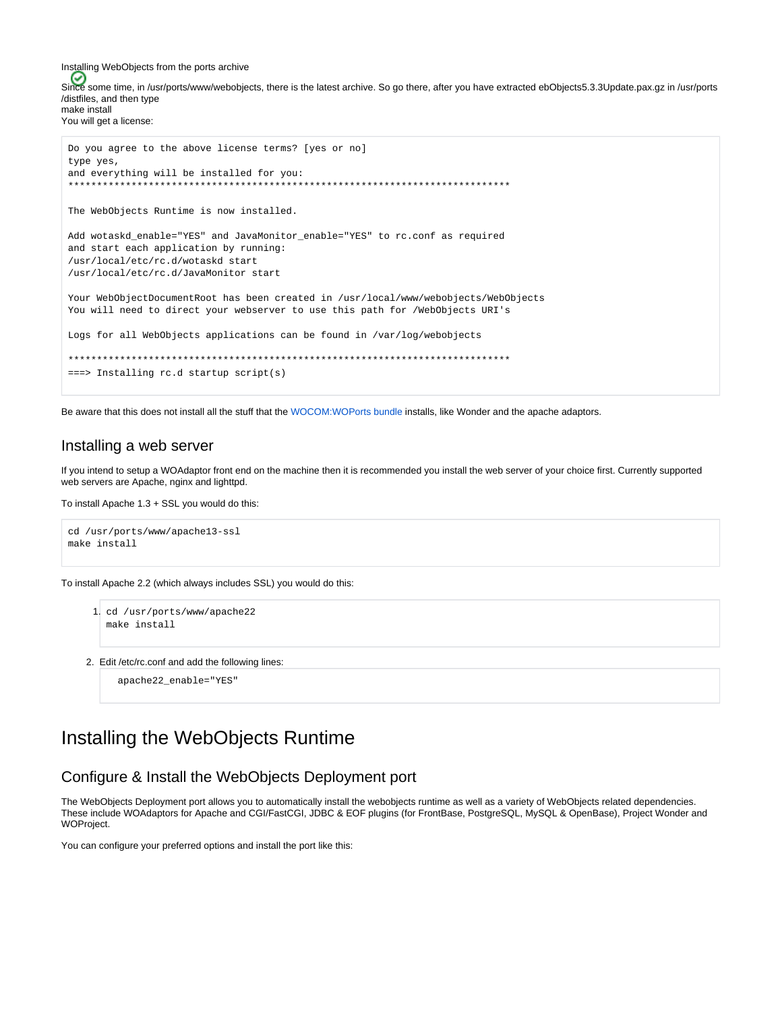Installing WebObjects from the ports archive Since some time, in /usr/ports/www/webobjects, there is the latest archive. So go there, after you have extracted ebObjects5.3.3Update.pax.gz in /usr/ports /distfiles, and then type make install You will get a license:

```
Do you agree to the above license terms? [yes or no]
type yes,
and everything will be installed for you:
The WebObjects Runtime is now installed.
Add wotaskd_enable="YES" and JavaMonitor_enable="YES" to rc.conf as required
and start each application by running:
/usr/local/etc/rc.d/wotaskd start
/usr/local/etc/rc.d/JavaMonitor start
Your WebObjectDocumentRoot has been created in /usr/local/www/webobjects/WebObjects
You will need to direct your webserver to use this path for /WebObjects URI's
Logs for all WebObjects applications can be found in /var/log/webobjects
===> Installing rc.d startup script(s)
```
Be aware that this does not install all the stuff that the WOCOM:WOPorts bundle installs, like Wonder and the apache adaptors.

### Installing a web server

If you intend to setup a WOAdaptor front end on the machine then it is recommended you install the web server of your choice first. Currently supported web servers are Apache, nginx and lighttpd.

To install Apache 1.3 + SSL you would do this:

```
cd /usr/ports/www/apachel3-ssl
make install
```
To install Apache 2.2 (which always includes SSL) you would do this:

```
1. cd /usr/ports/www/apache22
  make install
```
2. Edit /etc/rc.conf and add the following lines:

apache22\_enable="YES"

## Installing the WebObjects Runtime

## Configure & Install the WebObjects Deployment port

The WebObjects Deployment port allows you to automatically install the webobjects runtime as well as a variety of WebObjects related dependencies. These include WOAdaptors for Apache and CGI/FastCGI, JDBC & EOF plugins (for FrontBase, PostgreSQL, MySQL & OpenBase), Project Wonder and **WOProject.** 

You can configure your preferred options and install the port like this: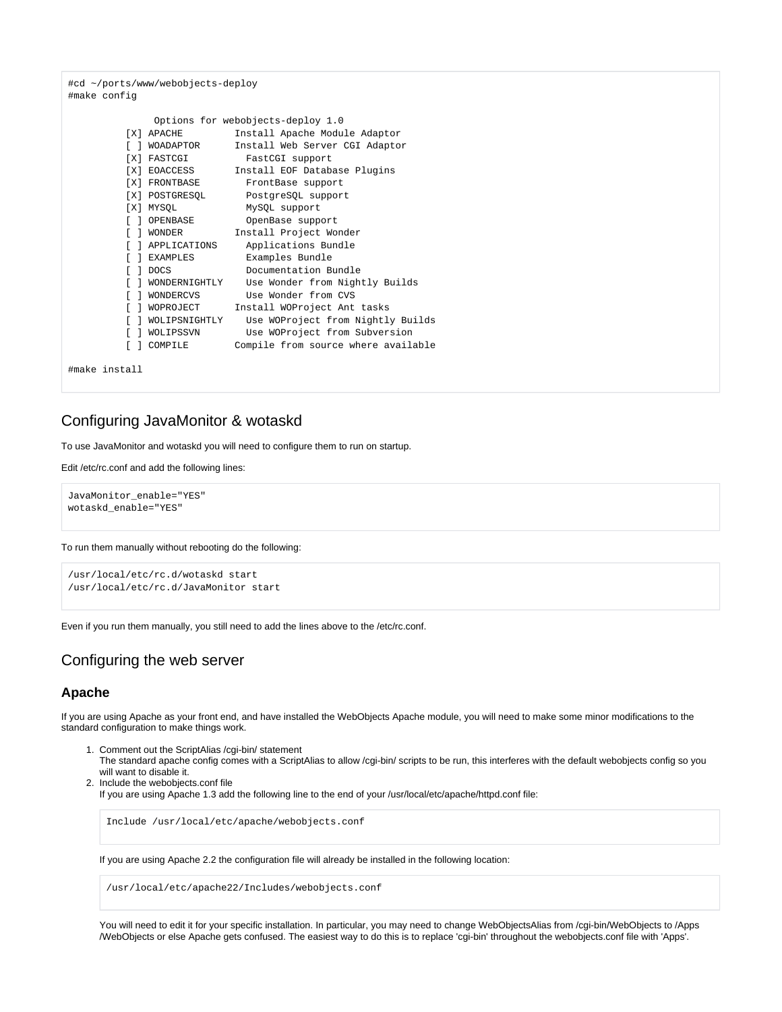#cd ~/ports/www/webobjects-deploy #make config

```
 Options for webobjects-deploy 1.0
        [X] APACHE Install Apache Module Adaptor
        [ ] WOADAPTOR Install Web Server CGI Adaptor
        [X] FASTCGI FastCGI support
        [X] EOACCESS Install EOF Database Plugins
[X] FRONTBASE FrontBase support
 [X] POSTGRESQL PostgreSQL support
        [X] MYSQL MySQL support<br>[ ] OPENBASE OpenBase support
 [ ] OPENBASE OpenBase support
 [ ] WONDER Install Project Wonder
         [ ] APPLICATIONS Applications Bundle
         [ ] EXAMPLES Examples Bundle
        [ ] DOCS Documentation Bundle
         [ ] WONDERNIGHTLY Use Wonder from Nightly Builds
         [ ] WONDERCVS Use Wonder from CVS
        [ ] WOPROJECT Install WOProject Ant tasks
         [ ] WOLIPSNIGHTLY Use WOProject from Nightly Builds
         [ ] WOLIPSSVN Use WOProject from Subversion
         [ ] COMPILE Compile from source where available
```

```
#make install
```
## Configuring JavaMonitor & wotaskd

To use JavaMonitor and wotaskd you will need to configure them to run on startup.

Edit /etc/rc.conf and add the following lines:

JavaMonitor\_enable="YES" wotaskd\_enable="YES"

To run them manually without rebooting do the following:

```
/usr/local/etc/rc.d/wotaskd start
/usr/local/etc/rc.d/JavaMonitor start
```
Even if you run them manually, you still need to add the lines above to the /etc/rc.conf.

## Configuring the web server

#### **Apache**

If you are using Apache as your front end, and have installed the WebObjects Apache module, you will need to make some minor modifications to the standard configuration to make things work.

- 1. Comment out the ScriptAlias /cgi-bin/ statement The standard apache config comes with a ScriptAlias to allow /cgi-bin/ scripts to be run, this interferes with the default webobjects config so you will want to disable it.
- 2. Include the webobjects.conf file If you are using Apache 1.3 add the following line to the end of your /usr/local/etc/apache/httpd.conf file:

Include /usr/local/etc/apache/webobjects.conf

If you are using Apache 2.2 the configuration file will already be installed in the following location:

/usr/local/etc/apache22/Includes/webobjects.conf

You will need to edit it for your specific installation. In particular, you may need to change WebObjectsAlias from /cgi-bin/WebObjects to /Apps /WebObjects or else Apache gets confused. The easiest way to do this is to replace 'cgi-bin' throughout the webobjects.conf file with 'Apps'.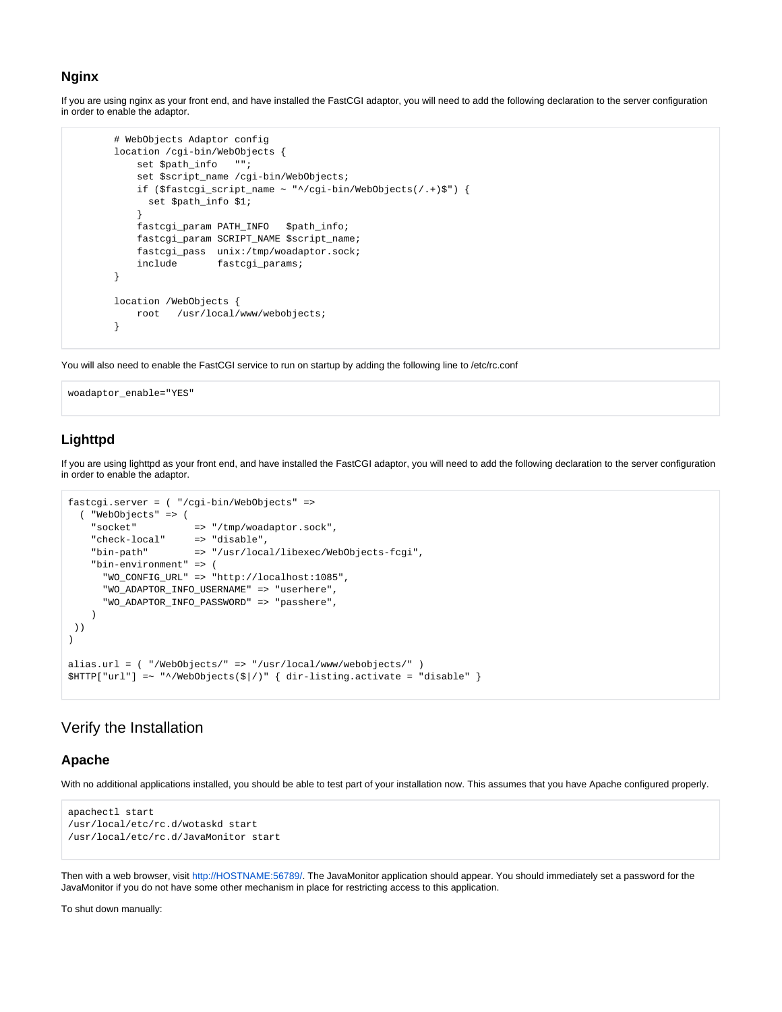#### **Nginx**

If you are using nginx as your front end, and have installed the FastCGI adaptor, you will need to add the following declaration to the server configuration in order to enable the adaptor.

```
 # WebObjects Adaptor config
        location /cgi-bin/WebObjects {
            set $path_info "";
            set $script_name /cgi-bin/WebObjects;
            if ($fastcgi_script_name ~ "^/cgi-bin/WebObjects(/.+)$") {
              set $path_info $1;
 }
            fastcgi_param PATH_INFO $path_info;
            fastcgi_param SCRIPT_NAME $script_name;
            fastcgi_pass unix:/tmp/woadaptor.sock;
            include fastcgi_params;
        }
        location /WebObjects {
            root /usr/local/www/webobjects;
        }
```
You will also need to enable the FastCGI service to run on startup by adding the following line to /etc/rc.conf

woadaptor\_enable="YES"

### **Lighttpd**

If you are using lighttpd as your front end, and have installed the FastCGI adaptor, you will need to add the following declaration to the server configuration in order to enable the adaptor.

```
fastcgi.server = ( "/cgi-bin/WebObjects" =>
   ( "WebObjects" => (
 "socket" => "/tmp/woadaptor.sock",
 "check-local" => "disable",
 "bin-path" => "/usr/local/libexec/WebObjects-fcgi",
     "bin-environment" => (
      "WO_CONFIG_URL" => "http://localhost:1085",
      "WO_ADAPTOR_INFO_USERNAME" => "userhere",
      "WO_ADAPTOR_INFO_PASSWORD" => "passhere",
     )
 ))
)
alias.url = ( "/WebObjects/" => "/usr/local/www/webobjects/" )
$HTTP['url'] = ~ "^{\prime}/WebObjects(\frac{\xi}{})')" { dir-listing. activate = "disable" }
```
## Verify the Installation

#### **Apache**

With no additional applications installed, you should be able to test part of your installation now. This assumes that you have Apache configured properly.

```
apachectl start
/usr/local/etc/rc.d/wotaskd start
/usr/local/etc/rc.d/JavaMonitor start
```
Then with a web browser, visit [http://HOSTNAME:56789/.](http://HOSTNAME:56789/) The JavaMonitor application should appear. You should immediately set a password for the JavaMonitor if you do not have some other mechanism in place for restricting access to this application.

To shut down manually: